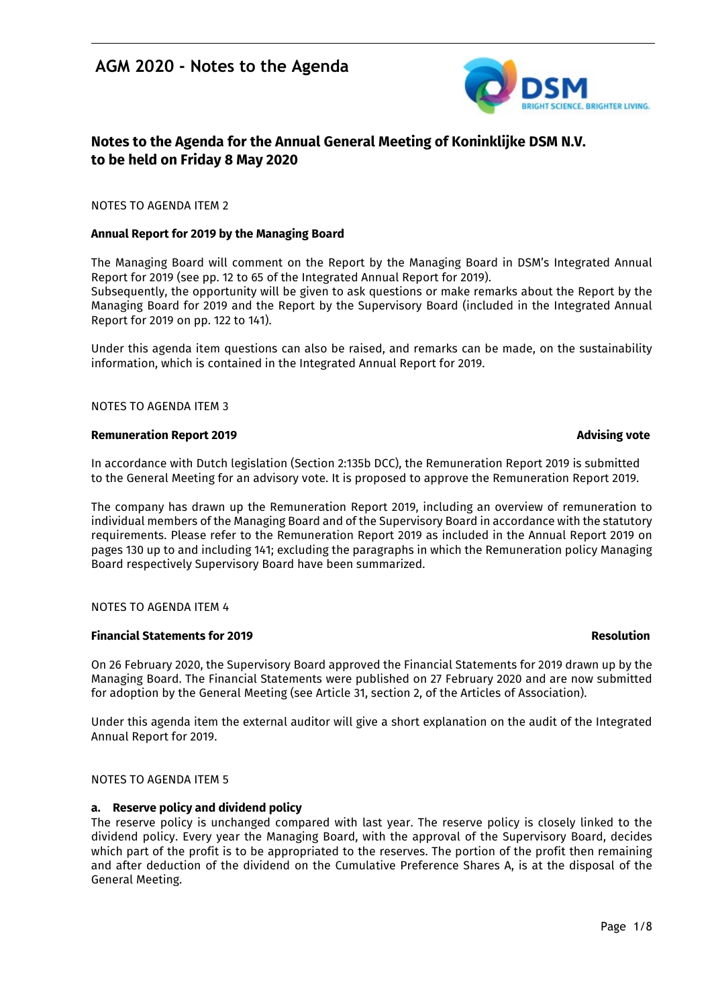

## **Notes to the Agenda for the Annual General Meeting of Koninklijke DSM N.V. to be held on Friday 8 May 2020**

#### NOTES TO AGENDA ITEM 2

#### **Annual Report for 2019 by the Managing Board**

The Managing Board will comment on the Report by the Managing Board in DSM's Integrated Annual Report for 2019 (see pp. 12 to 65 of the Integrated Annual Report for 2019). Subsequently, the opportunity will be given to ask questions or make remarks about the Report by the Managing Board for 2019 and the Report by the Supervisory Board (included in the Integrated Annual Report for 2019 on pp. 122 to 141).

Under this agenda item questions can also be raised, and remarks can be made, on the sustainability information, which is contained in the Integrated Annual Report for 2019.

#### NOTES TO AGENDA ITEM 3

#### **Remuneration Report 2019 Advising vote**

In accordance with Dutch legislation (Section 2:135b DCC), the Remuneration Report 2019 is submitted to the General Meeting for an advisory vote. It is proposed to approve the Remuneration Report 2019.

The company has drawn up the Remuneration Report 2019, including an overview of remuneration to individual members of the Managing Board and of the Supervisory Board in accordance with the statutory requirements. Please refer to the Remuneration Report 2019 as included in the Annual Report 2019 on pages 130 up to and including 141; excluding the paragraphs in which the Remuneration policy Managing Board respectively Supervisory Board have been summarized.

#### NOTES TO AGENDA ITEM 4

#### **Financial Statements for 2019 Resolution**

On 26 February 2020, the Supervisory Board approved the Financial Statements for 2019 drawn up by the Managing Board. The Financial Statements were published on 27 February 2020 and are now submitted for adoption by the General Meeting (see Article 31, section 2, of the Articles of Association).

Under this agenda item the external auditor will give a short explanation on the audit of the Integrated Annual Report for 2019.

#### NOTES TO AGENDA ITEM 5

#### **a. Reserve policy and dividend policy**

The reserve policy is unchanged compared with last year. The reserve policy is closely linked to the dividend policy. Every year the Managing Board, with the approval of the Supervisory Board, decides which part of the profit is to be appropriated to the reserves. The portion of the profit then remaining and after deduction of the dividend on the Cumulative Preference Shares A, is at the disposal of the General Meeting.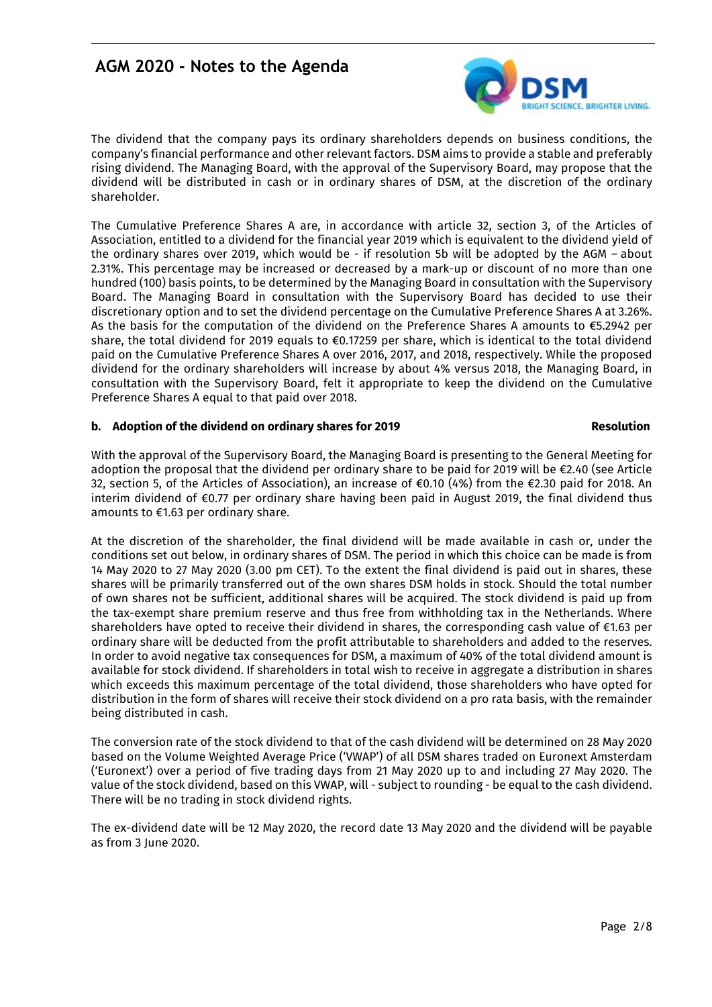

The dividend that the company pays its ordinary shareholders depends on business conditions, the company's financial performance and other relevant factors. DSM aims to provide a stable and preferably rising dividend. The Managing Board, with the approval of the Supervisory Board, may propose that the dividend will be distributed in cash or in ordinary shares of DSM, at the discretion of the ordinary shareholder.

The Cumulative Preference Shares A are, in accordance with article 32, section 3, of the Articles of Association, entitled to a dividend for the financial year 2019 which is equivalent to the dividend yield of the ordinary shares over 2019, which would be - if resolution 5b will be adopted by the AGM – about 2.31%. This percentage may be increased or decreased by a mark-up or discount of no more than one hundred (100) basis points, to be determined by the Managing Board in consultation with the Supervisory Board. The Managing Board in consultation with the Supervisory Board has decided to use their discretionary option and to set the dividend percentage on the Cumulative Preference Shares A at 3.26%. As the basis for the computation of the dividend on the Preference Shares A amounts to €5.2942 per share, the total dividend for 2019 equals to €0.17259 per share, which is identical to the total dividend paid on the Cumulative Preference Shares A over 2016, 2017, and 2018, respectively. While the proposed dividend for the ordinary shareholders will increase by about 4% versus 2018, the Managing Board, in consultation with the Supervisory Board, felt it appropriate to keep the dividend on the Cumulative Preference Shares A equal to that paid over 2018.

### **b. Adoption of the dividend on ordinary shares for 2019 Resolution**

With the approval of the Supervisory Board, the Managing Board is presenting to the General Meeting for adoption the proposal that the dividend per ordinary share to be paid for 2019 will be €2.40 (see Article 32, section 5, of the Articles of Association), an increase of €0.10 (4%) from the €2.30 paid for 2018. An interim dividend of €0.77 per ordinary share having been paid in August 2019, the final dividend thus amounts to €1.63 per ordinary share.

At the discretion of the shareholder, the final dividend will be made available in cash or, under the conditions set out below, in ordinary shares of DSM. The period in which this choice can be made is from 14 May 2020 to 27 May 2020 (3.00 pm CET). To the extent the final dividend is paid out in shares, these shares will be primarily transferred out of the own shares DSM holds in stock. Should the total number of own shares not be sufficient, additional shares will be acquired. The stock dividend is paid up from the tax-exempt share premium reserve and thus free from withholding tax in the Netherlands. Where shareholders have opted to receive their dividend in shares, the corresponding cash value of €1.63 per ordinary share will be deducted from the profit attributable to shareholders and added to the reserves. In order to avoid negative tax consequences for DSM, a maximum of 40% of the total dividend amount is available for stock dividend. If shareholders in total wish to receive in aggregate a distribution in shares which exceeds this maximum percentage of the total dividend, those shareholders who have opted for distribution in the form of shares will receive their stock dividend on a pro rata basis, with the remainder being distributed in cash.

The conversion rate of the stock dividend to that of the cash dividend will be determined on 28 May 2020 based on the Volume Weighted Average Price ('VWAP') of all DSM shares traded on Euronext Amsterdam ('Euronext') over a period of five trading days from 21 May 2020 up to and including 27 May 2020. The value of the stock dividend, based on this VWAP, will - subject to rounding - be equal to the cash dividend. There will be no trading in stock dividend rights.

The ex-dividend date will be 12 May 2020, the record date 13 May 2020 and the dividend will be payable as from 3 June 2020.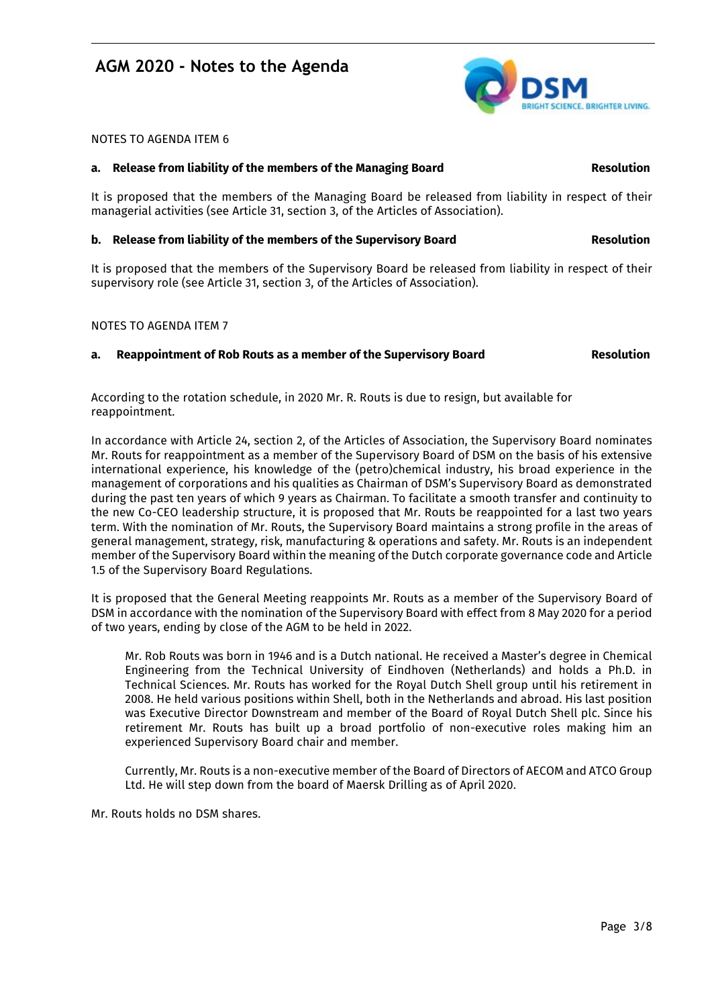### NOTES TO AGENDA ITEM 6

#### **a. Release from liability of the members of the Managing Board Resolution**

It is proposed that the members of the Managing Board be released from liability in respect of their managerial activities (see Article 31, section 3, of the Articles of Association).

#### **b. Release from liability of the members of the Supervisory Board Resolution**

It is proposed that the members of the Supervisory Board be released from liability in respect of their supervisory role (see Article 31, section 3, of the Articles of Association).

NOTES TO AGENDA ITEM 7

### **a. Reappointment of Rob Routs as a member of the Supervisory Board Resolution**

According to the rotation schedule, in 2020 Mr. R. Routs is due to resign, but available for reappointment.

In accordance with Article 24, section 2, of the Articles of Association, the Supervisory Board nominates Mr. Routs for reappointment as a member of the Supervisory Board of DSM on the basis of his extensive international experience, his knowledge of the (petro)chemical industry, his broad experience in the management of corporations and his qualities as Chairman of DSM's Supervisory Board as demonstrated during the past ten years of which 9 years as Chairman. To facilitate a smooth transfer and continuity to the new Co-CEO leadership structure, it is proposed that Mr. Routs be reappointed for a last two years term. With the nomination of Mr. Routs, the Supervisory Board maintains a strong profile in the areas of general management, strategy, risk, manufacturing & operations and safety. Mr. Routs is an independent member of the Supervisory Board within the meaning of the Dutch corporate governance code and Article 1.5 of the Supervisory Board Regulations.

It is proposed that the General Meeting reappoints Mr. Routs as a member of the Supervisory Board of DSM in accordance with the nomination of the Supervisory Board with effect from 8 May 2020 for a period of two years, ending by close of the AGM to be held in 2022.

Mr. Rob Routs was born in 1946 and is a Dutch national. He received a Master's degree in Chemical Engineering from the Technical University of Eindhoven (Netherlands) and holds a Ph.D. in Technical Sciences. Mr. Routs has worked for the Royal Dutch Shell group until his retirement in 2008. He held various positions within Shell, both in the Netherlands and abroad. His last position was Executive Director Downstream and member of the Board of Royal Dutch Shell plc. Since his retirement Mr. Routs has built up a broad portfolio of non-executive roles making him an experienced Supervisory Board chair and member.

Currently, Mr. Routs is a non-executive member of the Board of Directors of AECOM and ATCO Group Ltd. He will step down from the board of Maersk Drilling as of April 2020.

Mr. Routs holds no DSM shares.

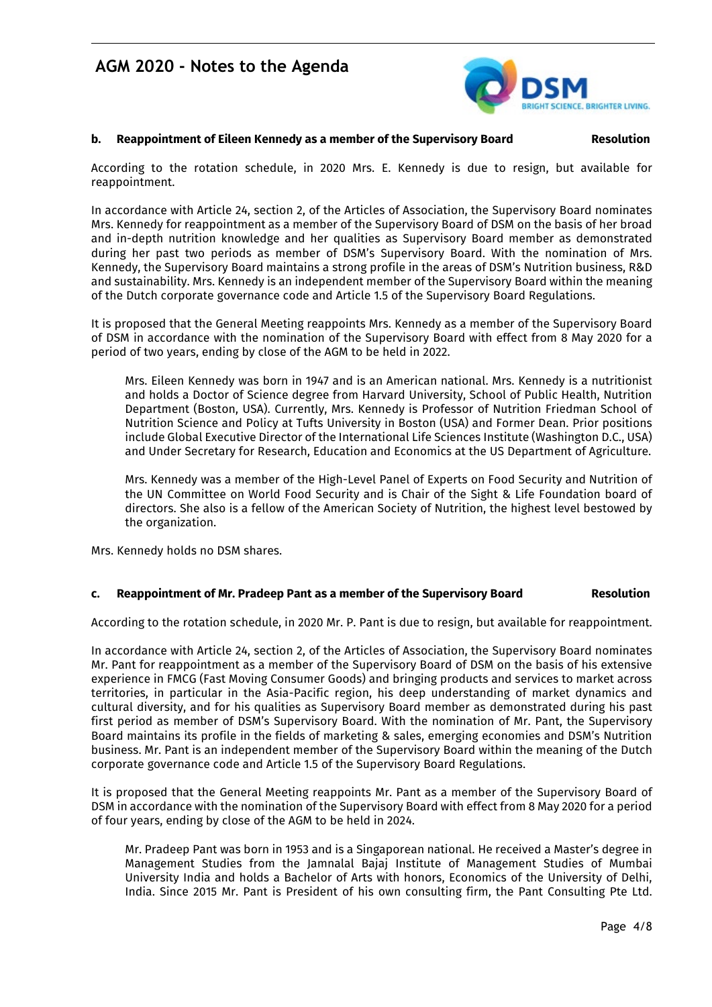

#### **b. Reappointment of Eileen Kennedy as a member of the Supervisory Board Resolution**

According to the rotation schedule, in 2020 Mrs. E. Kennedy is due to resign, but available for reappointment.

In accordance with Article 24, section 2, of the Articles of Association, the Supervisory Board nominates Mrs. Kennedy for reappointment as a member of the Supervisory Board of DSM on the basis of her broad and in-depth nutrition knowledge and her qualities as Supervisory Board member as demonstrated during her past two periods as member of DSM's Supervisory Board. With the nomination of Mrs. Kennedy, the Supervisory Board maintains a strong profile in the areas of DSM's Nutrition business, R&D and sustainability. Mrs. Kennedy is an independent member of the Supervisory Board within the meaning of the Dutch corporate governance code and Article 1.5 of the Supervisory Board Regulations.

It is proposed that the General Meeting reappoints Mrs. Kennedy as a member of the Supervisory Board of DSM in accordance with the nomination of the Supervisory Board with effect from 8 May 2020 for a period of two years, ending by close of the AGM to be held in 2022.

Mrs. Eileen Kennedy was born in 1947 and is an American national. Mrs. Kennedy is a nutritionist and holds a Doctor of Science degree from Harvard University, School of Public Health, Nutrition Department (Boston, USA). Currently, Mrs. Kennedy is Professor of Nutrition Friedman School of Nutrition Science and Policy at Tufts University in Boston (USA) and Former Dean. Prior positions include Global Executive Director of the International Life Sciences Institute (Washington D.C., USA) and Under Secretary for Research, Education and Economics at the US Department of Agriculture.

Mrs. Kennedy was a member of the High-Level Panel of Experts on Food Security and Nutrition of the UN Committee on World Food Security and is Chair of the Sight & Life Foundation board of directors. She also is a fellow of the American Society of Nutrition, the highest level bestowed by the organization.

Mrs. Kennedy holds no DSM shares.

#### **c. Reappointment of Mr. Pradeep Pant as a member of the Supervisory Board Resolution**

According to the rotation schedule, in 2020 Mr. P. Pant is due to resign, but available for reappointment.

In accordance with Article 24, section 2, of the Articles of Association, the Supervisory Board nominates Mr. Pant for reappointment as a member of the Supervisory Board of DSM on the basis of his extensive experience in FMCG (Fast Moving Consumer Goods) and bringing products and services to market across territories, in particular in the Asia-Pacific region, his deep understanding of market dynamics and cultural diversity, and for his qualities as Supervisory Board member as demonstrated during his past first period as member of DSM's Supervisory Board. With the nomination of Mr. Pant, the Supervisory Board maintains its profile in the fields of marketing & sales, emerging economies and DSM's Nutrition business. Mr. Pant is an independent member of the Supervisory Board within the meaning of the Dutch corporate governance code and Article 1.5 of the Supervisory Board Regulations.

It is proposed that the General Meeting reappoints Mr. Pant as a member of the Supervisory Board of DSM in accordance with the nomination of the Supervisory Board with effect from 8 May 2020 for a period of four years, ending by close of the AGM to be held in 2024.

Mr. Pradeep Pant was born in 1953 and is a Singaporean national. He received a Master's degree in Management Studies from the Jamnalal Bajaj Institute of Management Studies of Mumbai University India and holds a Bachelor of Arts with honors, Economics of the University of Delhi, India. Since 2015 Mr. Pant is President of his own consulting firm, the Pant Consulting Pte Ltd.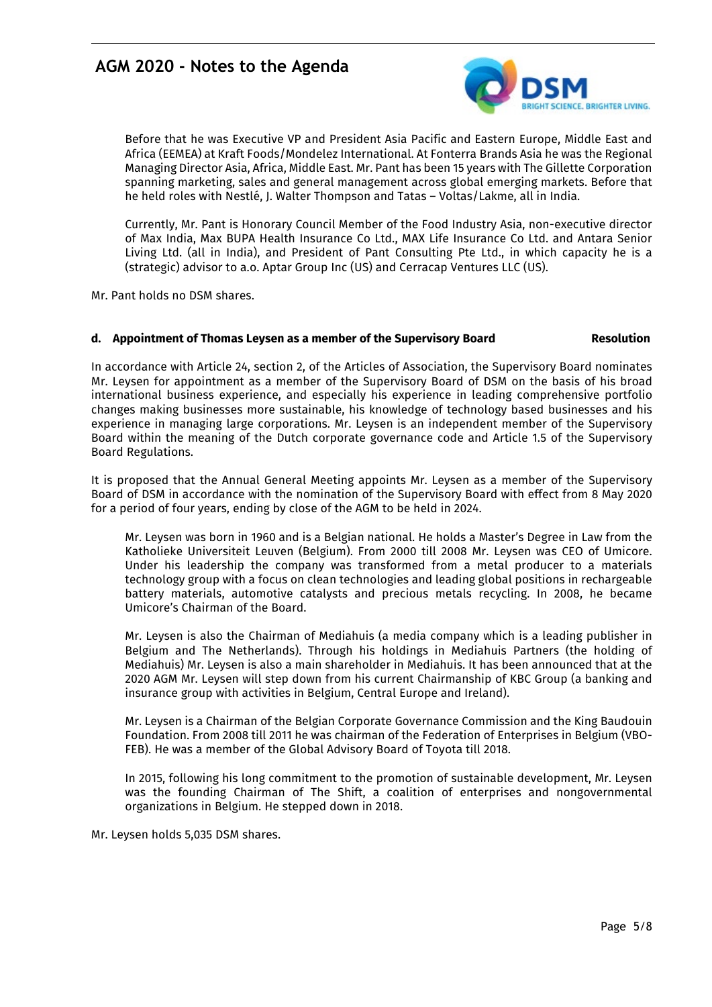

Before that he was Executive VP and President Asia Pacific and Eastern Europe, Middle East and Africa (EEMEA) at Kraft Foods/Mondelez International. At Fonterra Brands Asia he was the Regional Managing Director Asia, Africa, Middle East. Mr. Pant has been 15 years with The Gillette Corporation spanning marketing, sales and general management across global emerging markets. Before that he held roles with Nestlé, J. Walter Thompson and Tatas – Voltas/Lakme, all in India.

Currently, Mr. Pant is Honorary Council Member of the Food Industry Asia, non-executive director of Max India, Max BUPA Health Insurance Co Ltd., MAX Life Insurance Co Ltd. and Antara Senior Living Ltd. (all in India), and President of Pant Consulting Pte Ltd., in which capacity he is a (strategic) advisor to a.o. Aptar Group Inc (US) and Cerracap Ventures LLC (US).

Mr. Pant holds no DSM shares.

#### **d. Appointment of Thomas Leysen as a member of the Supervisory Board Resolution**

In accordance with Article 24, section 2, of the Articles of Association, the Supervisory Board nominates Mr. Leysen for appointment as a member of the Supervisory Board of DSM on the basis of his broad international business experience, and especially his experience in leading comprehensive portfolio changes making businesses more sustainable, his knowledge of technology based businesses and his experience in managing large corporations. Mr. Leysen is an independent member of the Supervisory Board within the meaning of the Dutch corporate governance code and Article 1.5 of the Supervisory Board Regulations.

It is proposed that the Annual General Meeting appoints Mr. Leysen as a member of the Supervisory Board of DSM in accordance with the nomination of the Supervisory Board with effect from 8 May 2020 for a period of four years, ending by close of the AGM to be held in 2024.

Mr. Leysen was born in 1960 and is a Belgian national. He holds a Master's Degree in Law from the Katholieke Universiteit Leuven (Belgium). From 2000 till 2008 Mr. Leysen was CEO of Umicore. Under his leadership the company was transformed from a metal producer to a materials technology group with a focus on clean technologies and leading global positions in rechargeable battery materials, automotive catalysts and precious metals recycling. In 2008, he became Umicore's Chairman of the Board.

Mr. Leysen is also the Chairman of Mediahuis (a media company which is a leading publisher in Belgium and The Netherlands). Through his holdings in Mediahuis Partners (the holding of Mediahuis) Mr. Leysen is also a main shareholder in Mediahuis. It has been announced that at the 2020 AGM Mr. Leysen will step down from his current Chairmanship of KBC Group (a banking and insurance group with activities in Belgium, Central Europe and Ireland).

Mr. Leysen is a Chairman of the Belgian Corporate Governance Commission and the King Baudouin Foundation. From 2008 till 2011 he was chairman of the Federation of Enterprises in Belgium (VBO-FEB). He was a member of the Global Advisory Board of Toyota till 2018.

In 2015, following his long commitment to the promotion of sustainable development, Mr. Leysen was the founding Chairman of The Shift, a coalition of enterprises and nongovernmental organizations in Belgium. He stepped down in 2018.

Mr. Leysen holds 5,035 DSM shares.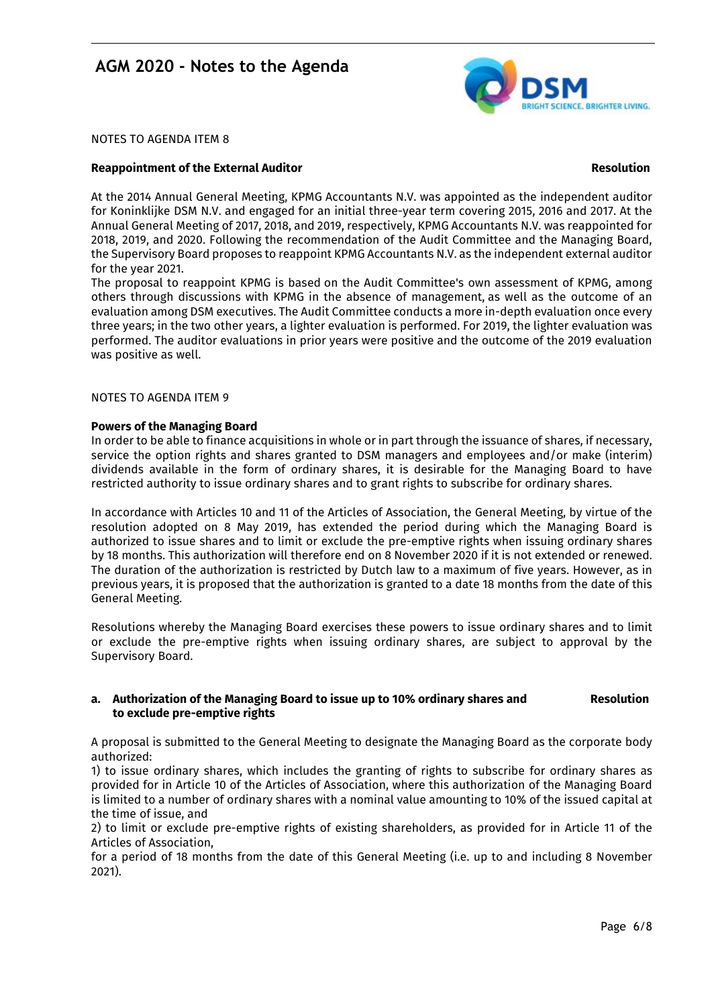

NOTES TO AGENDA ITEM 8

#### **Reappointment of the External Auditor Resolution**

At the 2014 Annual General Meeting, KPMG Accountants N.V. was appointed as the independent auditor for Koninklijke DSM N.V. and engaged for an initial three-year term covering 2015, 2016 and 2017. At the Annual General Meeting of 2017, 2018, and 2019, respectively, KPMG Accountants N.V. was reappointed for 2018, 2019, and 2020. Following the recommendation of the Audit Committee and the Managing Board, the Supervisory Board proposes to reappoint KPMG Accountants N.V. as the independent external auditor for the year 2021.

The proposal to reappoint KPMG is based on the Audit Committee's own assessment of KPMG, among others through discussions with KPMG in the absence of management, as well as the outcome of an evaluation among DSM executives. The Audit Committee conducts a more in-depth evaluation once every three years; in the two other years, a lighter evaluation is performed. For 2019, the lighter evaluation was performed. The auditor evaluations in prior years were positive and the outcome of the 2019 evaluation was positive as well.

#### NOTES TO AGENDA ITEM 9

#### **Powers of the Managing Board**

In order to be able to finance acquisitions in whole or in part through the issuance of shares, if necessary, service the option rights and shares granted to DSM managers and employees and/or make (interim) dividends available in the form of ordinary shares, it is desirable for the Managing Board to have restricted authority to issue ordinary shares and to grant rights to subscribe for ordinary shares.

In accordance with Articles 10 and 11 of the Articles of Association, the General Meeting, by virtue of the resolution adopted on 8 May 2019, has extended the period during which the Managing Board is authorized to issue shares and to limit or exclude the pre-emptive rights when issuing ordinary shares by 18 months. This authorization will therefore end on 8 November 2020 if it is not extended or renewed. The duration of the authorization is restricted by Dutch law to a maximum of five years. However, as in previous years, it is proposed that the authorization is granted to a date 18 months from the date of this General Meeting.

Resolutions whereby the Managing Board exercises these powers to issue ordinary shares and to limit or exclude the pre-emptive rights when issuing ordinary shares, are subject to approval by the Supervisory Board.

#### a. Authorization of the Managing Board to issue up to 10% ordinary shares and Resolution **to exclude pre-emptive rights**

A proposal is submitted to the General Meeting to designate the Managing Board as the corporate body authorized:

1) to issue ordinary shares, which includes the granting of rights to subscribe for ordinary shares as provided for in Article 10 of the Articles of Association, where this authorization of the Managing Board is limited to a number of ordinary shares with a nominal value amounting to 10% of the issued capital at the time of issue, and

2) to limit or exclude pre-emptive rights of existing shareholders, as provided for in Article 11 of the Articles of Association,

for a period of 18 months from the date of this General Meeting (i.e. up to and including 8 November 2021).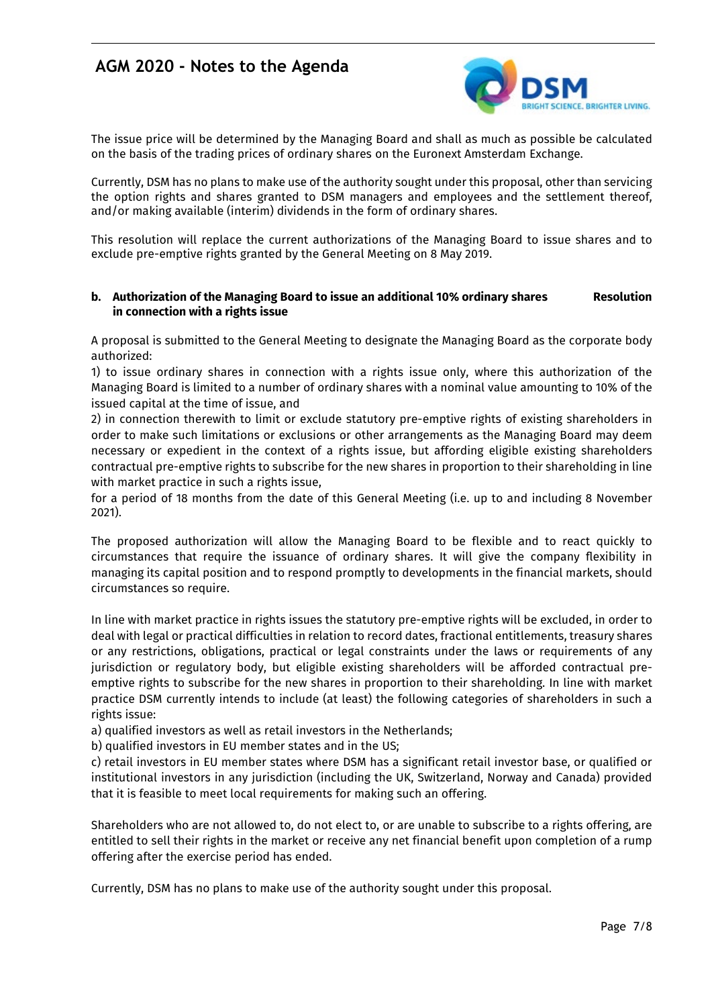

The issue price will be determined by the Managing Board and shall as much as possible be calculated on the basis of the trading prices of ordinary shares on the Euronext Amsterdam Exchange.

Currently, DSM has no plans to make use of the authority sought under this proposal, other than servicing the option rights and shares granted to DSM managers and employees and the settlement thereof, and/or making available (interim) dividends in the form of ordinary shares.

This resolution will replace the current authorizations of the Managing Board to issue shares and to exclude pre-emptive rights granted by the General Meeting on 8 May 2019.

### **b. Authorization of the Managing Board to issue an additional 10% ordinary shares Resolution in connection with a rights issue**

A proposal is submitted to the General Meeting to designate the Managing Board as the corporate body authorized:

1) to issue ordinary shares in connection with a rights issue only, where this authorization of the Managing Board is limited to a number of ordinary shares with a nominal value amounting to 10% of the issued capital at the time of issue, and

2) in connection therewith to limit or exclude statutory pre-emptive rights of existing shareholders in order to make such limitations or exclusions or other arrangements as the Managing Board may deem necessary or expedient in the context of a rights issue, but affording eligible existing shareholders contractual pre-emptive rights to subscribe for the new shares in proportion to their shareholding in line with market practice in such a rights issue,

for a period of 18 months from the date of this General Meeting (i.e. up to and including 8 November 2021).

The proposed authorization will allow the Managing Board to be flexible and to react quickly to circumstances that require the issuance of ordinary shares. It will give the company flexibility in managing its capital position and to respond promptly to developments in the financial markets, should circumstances so require.

In line with market practice in rights issues the statutory pre-emptive rights will be excluded, in order to deal with legal or practical difficulties in relation to record dates, fractional entitlements, treasury shares or any restrictions, obligations, practical or legal constraints under the laws or requirements of any jurisdiction or regulatory body, but eligible existing shareholders will be afforded contractual preemptive rights to subscribe for the new shares in proportion to their shareholding. In line with market practice DSM currently intends to include (at least) the following categories of shareholders in such a rights issue:

a) qualified investors as well as retail investors in the Netherlands;

b) qualified investors in EU member states and in the US;

c) retail investors in EU member states where DSM has a significant retail investor base, or qualified or institutional investors in any jurisdiction (including the UK, Switzerland, Norway and Canada) provided that it is feasible to meet local requirements for making such an offering.

Shareholders who are not allowed to, do not elect to, or are unable to subscribe to a rights offering, are entitled to sell their rights in the market or receive any net financial benefit upon completion of a rump offering after the exercise period has ended.

Currently, DSM has no plans to make use of the authority sought under this proposal.